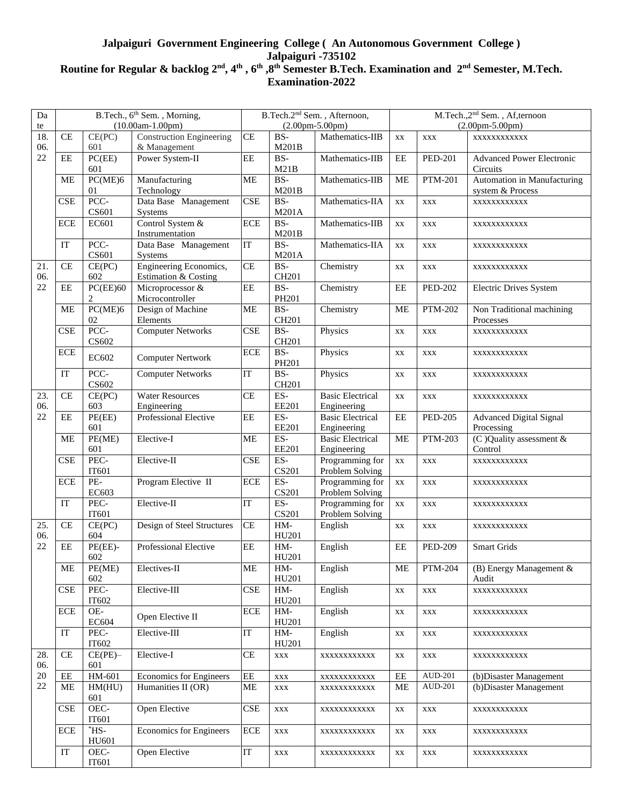## **Jalpaiguri Government Engineering College ( An Autonomous Government College ) Jalpaiguri -735102 Routine for Regular & backlog 2 nd, 4th , 6th ,8th Semester B.Tech. Examination and 2nd Semester, M.Tech. Examination-2022**

| Da     |                    |                       | B.Tech., 6 <sup>th</sup> Sem., Morning, | B.Tech.2 <sup>nd</sup> Sem., Afternoon, |                            |                         |                                   | M.Tech., 2 <sup>nd</sup> Sem., Af, ternoon |                                              |  |
|--------|--------------------|-----------------------|-----------------------------------------|-----------------------------------------|----------------------------|-------------------------|-----------------------------------|--------------------------------------------|----------------------------------------------|--|
| te     | $(10.00am-1.00pm)$ |                       |                                         | $(2.00 \text{pm} - 5.00 \text{pm})$     |                            |                         | $(2.00 \text{pm-}5.00 \text{pm})$ |                                            |                                              |  |
| 18.    | <b>CE</b>          | CE(PC)                | <b>Construction Engineering</b>         | CE<br>$BS-$                             |                            | Mathematics-IIB         | XX<br>XXX                         |                                            | XXXXXXXXXXX                                  |  |
| 06.    |                    | 601                   | & Management                            |                                         | M201B                      |                         |                                   |                                            |                                              |  |
| $22\,$ | EE                 | PC(EE)                | Power System-II                         | $\rm EE$                                | BS-                        | Mathematics-IIB         | EE                                | <b>PED-201</b>                             | <b>Advanced Power Electronic</b><br>Circuits |  |
|        |                    | 601                   |                                         |                                         | M21B                       |                         |                                   |                                            |                                              |  |
|        | <b>ME</b>          | PC(ME)6               | Manufacturing                           | $\mathbf{ME}$                           | BS-                        | Mathematics-IIB         | <b>ME</b>                         | <b>PTM-201</b>                             | Automation in Manufacturing                  |  |
|        |                    | 01                    | Technology                              |                                         | M201B                      |                         |                                   |                                            | system & Process                             |  |
|        | <b>CSE</b>         | PCC-                  | Data Base Management                    | CSE                                     | BS-                        | Mathematics-IIA         | XX                                | XXX                                        | XXXXXXXXXXX                                  |  |
|        |                    | CS601                 | Systems                                 |                                         | M201A                      |                         |                                   |                                            |                                              |  |
|        | <b>ECE</b>         | EC601                 | Control System &                        | <b>ECE</b>                              | BS-                        | Mathematics-IIB         | XX                                | XXX                                        | XXXXXXXXXXX                                  |  |
|        |                    |                       | Instrumentation                         |                                         | M201B                      |                         |                                   |                                            |                                              |  |
|        | IT                 | $\rm PCC$ -           | Data Base Management                    | IT                                      | BS-                        | Mathematics-IIA         | XX                                | XXX                                        | XXXXXXXXXXX                                  |  |
|        |                    | CS601                 | Systems                                 |                                         | M201A                      |                         |                                   |                                            |                                              |  |
| 21.    | CE                 | CE(PC)                | Engineering Economics,                  | CE                                      | BS-                        | Chemistry               | XX                                | XXX                                        | XXXXXXXXXXX                                  |  |
| 06.    |                    | 602                   | Estimation & Costing                    |                                         | CH201                      |                         | EE                                | <b>PED-202</b>                             | Electric Drives System                       |  |
| 22     | EE                 | PC(EE)60              | Microprocessor &                        | EE                                      | BS-                        | Chemistry               |                                   |                                            |                                              |  |
|        |                    | 2                     | Microcontroller                         |                                         | PH201                      |                         |                                   |                                            |                                              |  |
|        | <b>ME</b>          | PC(ME)6               | Design of Machine                       | ME                                      | BS-                        | Chemistry               | <b>ME</b>                         | <b>PTM-202</b><br>XXX                      | Non Traditional machining                    |  |
|        |                    | 02                    | Elements                                |                                         | CH201                      |                         |                                   |                                            | Processes                                    |  |
|        | <b>CSE</b>         | $\rm PCC$ -           | <b>Computer Networks</b>                | $\ensuremath{\mathsf{CSE}}$             | BS-                        | Physics                 | XX                                |                                            | XXXXXXXXXXX                                  |  |
|        |                    | CS602                 |                                         |                                         | CH <sub>201</sub>          |                         |                                   |                                            |                                              |  |
|        | <b>ECE</b>         | EC602                 | <b>Computer Nertwork</b>                | <b>ECE</b>                              | BS-                        | Physics                 | XX                                | XXX                                        | XXXXXXXXXXX                                  |  |
|        | IT                 | PCC-                  |                                         | IT                                      | PH201<br>BS-               |                         |                                   |                                            |                                              |  |
|        |                    | CS602                 | <b>Computer Networks</b>                |                                         |                            | Physics                 | XX                                | XXX                                        | XXXXXXXXXXX                                  |  |
| 23.    | CE                 | CE(PC)                | <b>Water Resources</b>                  | CE                                      | CH <sub>201</sub><br>$ES-$ | <b>Basic Electrical</b> |                                   |                                            |                                              |  |
| 06.    |                    | 603                   | Engineering                             |                                         | <b>EE201</b>               | Engineering             | XX                                | XXX                                        | XXXXXXXXXXX                                  |  |
| 22     | EE                 | PE(EE)                | Professional Elective                   | EE                                      | $ES-$                      | <b>Basic Electrical</b> | EE                                | <b>PED-205</b>                             | <b>Advanced Digital Signal</b>               |  |
|        |                    | 601                   |                                         |                                         | <b>EE201</b>               | Engineering             |                                   |                                            | Processing                                   |  |
|        | <b>ME</b>          | PE(ME)                | Elective-I                              | <b>ME</b>                               | ES-                        | <b>Basic Electrical</b> | <b>ME</b>                         | <b>PTM-203</b>                             | (C) Quality assessment &                     |  |
|        |                    | 601                   |                                         |                                         | <b>EE201</b>               | Engineering             |                                   |                                            | Control                                      |  |
|        | CSE                | PEC-                  | Elective-II                             | CSE                                     | ES-                        | Programming for         | XX                                | XXX                                        | XXXXXXXXXXX                                  |  |
|        |                    |                       | IT601                                   |                                         | <b>CS201</b>               | Problem Solving         |                                   |                                            |                                              |  |
|        | <b>ECE</b>         | PE-                   | Program Elective II                     | <b>ECE</b>                              | ES-                        | Programming for         | XX                                | XXX                                        | XXXXXXXXXXX                                  |  |
|        |                    | EC603                 |                                         |                                         | CS201                      | Problem Solving         |                                   |                                            |                                              |  |
|        | IT                 | PEC-                  | Elective-II                             | IT                                      | $ES-$                      | Programming for         | $\mathbf{X}\mathbf{X}$            | XXX                                        | XXXXXXXXXXX                                  |  |
|        |                    | IT601                 |                                         |                                         | <b>CS201</b>               | Problem Solving         |                                   |                                            |                                              |  |
| 25.    | CE                 | CE(PC)                | Design of Steel Structures              | CE<br>EE                                | HM-                        | English                 | XX<br>$\rm EE$                    | XXX                                        | XXXXXXXXXXX<br>Smart Grids                   |  |
| 06.    |                    | 604                   |                                         |                                         | HU201                      |                         |                                   |                                            |                                              |  |
| 22     | EE                 | $PE(EE)$ -            | Professional Elective                   |                                         | HM-                        | English                 |                                   | <b>PED-209</b>                             |                                              |  |
|        |                    | 602                   |                                         |                                         | HU201                      |                         |                                   |                                            |                                              |  |
|        | <b>ME</b>          | PE(ME)                | Electives-II                            | <b>ME</b>                               | HM-                        | English                 | <b>ME</b>                         | <b>PTM-204</b>                             | $(B)$ Energy Management $\&$                 |  |
|        |                    | 602                   |                                         |                                         | HU201                      |                         |                                   |                                            | Audit                                        |  |
|        | CSE                | PEC-                  | Elective-III                            | <b>CSE</b>                              | HM-                        | English                 | XX                                | XXX                                        | XXXXXXXXXXX                                  |  |
|        |                    | IT602                 |                                         |                                         | HU201                      |                         |                                   |                                            |                                              |  |
|        | ECE                | OE-                   | Open Elective II                        | <b>ECE</b>                              | HM-                        | English                 | XX                                | XXX                                        | XXXXXXXXXXX                                  |  |
|        | IT                 | EC604                 | Elective-III                            | $\mathop{\mathrm{IT}}$                  | HU201<br>$HM-$             |                         |                                   |                                            |                                              |  |
|        |                    | PEC-<br>IT602         |                                         |                                         | HU201                      | English                 | XX                                | XXX                                        | XXXXXXXXXXX                                  |  |
| 28.    | CE                 | $CE(PE)$ -            | Elective-I                              | CE                                      |                            |                         |                                   |                                            |                                              |  |
| 06.    |                    | 601                   |                                         |                                         | XXX                        | XXXXXXXXXXX             | XX                                | XXX                                        | XXXXXXXXXXX                                  |  |
| 20     | $\rm{EE}$          | HM-601                | Economics for Engineers                 | $\rm{EE}$                               | XXX                        | XXXXXXXXXXX             | EE                                | AUD-201                                    | (b) Disaster Management                      |  |
| 22     | ME                 |                       | HM(HU)<br>Humanities II (OR)<br>601     |                                         | XXX                        | XXXXXXXXXXX             | <b>ME</b>                         | <b>AUD-201</b>                             | (b) Disaster Management                      |  |
|        |                    |                       |                                         |                                         |                            |                         |                                   |                                            |                                              |  |
|        | <b>CSE</b>         | OEC-                  | Open Elective                           | <b>CSE</b>                              | XXX                        | XXXXXXXXXXX             | XX                                | XXX                                        | XXXXXXXXXXX                                  |  |
|        |                    | IT601                 |                                         |                                         |                            |                         |                                   |                                            |                                              |  |
|        | $\rm ECE$          | $*$ HS-               | <b>Economics for Engineers</b>          | $\rm ECE$                               | <b>XXX</b>                 | XXXXXXXXXXX             | XX                                | XXX                                        | XXXXXXXXXXX                                  |  |
|        |                    | HU601                 |                                         |                                         |                            |                         |                                   |                                            |                                              |  |
|        | IT                 | OEC-<br>Open Elective |                                         | IT                                      | XXX                        | XXXXXXXXXXX             | XX                                | XXX                                        | XXXXXXXXXXX                                  |  |
|        |                    | IT601                 |                                         |                                         |                            |                         |                                   |                                            |                                              |  |